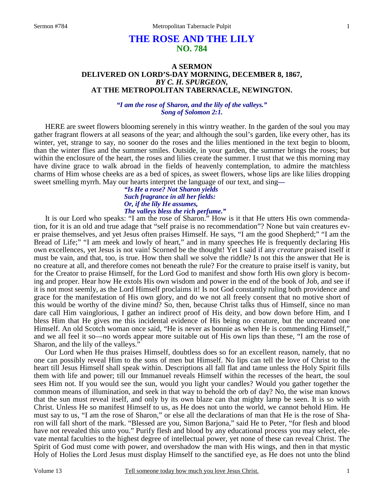# **THE ROSE AND THE LILY NO. 784**

# **A SERMON DELIVERED ON LORD'S-DAY MORNING, DECEMBER 8, 1867,**  *BY C. H. SPURGEON,*  **AT THE METROPOLITAN TABERNACLE, NEWINGTON.**

#### *"I am the rose of Sharon, and the lily of the valleys." Song of Solomon 2:1.*

HERE are sweet flowers blooming serenely in this wintry weather. In the garden of the soul you may gather fragrant flowers at all seasons of the year; and although the soul's garden, like every other, has its winter, yet, strange to say, no sooner do the roses and the lilies mentioned in the text begin to bloom, than the winter flies and the summer smiles. Outside, in your garden, the summer brings the roses; but within the enclosure of the heart, the roses and lilies create the summer. I trust that we this morning may have divine grace to walk abroad in the fields of heavenly contemplation, to admire the matchless charms of Him whose cheeks are as a bed of spices, as sweet flowers, whose lips are like lilies dropping sweet smelling myrrh. May our hearts interpret the language of our text, and sing*—* 

*"Is He a rose? Not Sharon yields Such fragrance in all her fields: Or, if the lily He assumes, The valleys bless the rich perfume."* 

It is our Lord who speaks: "I am the rose of Sharon." How is it that He utters His own commendation, for it is an old and true adage that "self praise is no recommendation"? None but vain creatures ever praise themselves, and yet Jesus often praises Himself. He says, "I am the good Shepherd;" "I am the Bread of Life;" "I am meek and lowly of heart," and in many speeches He is frequently declaring His own excellences, yet Jesus is not vain! Scorned be the thought! Yet I said if any *creature* praised itself it must be vain, and that, too, is true. How then shall we solve the riddle? Is not this the answer that He is no creature at all, and therefore comes not beneath the rule? For the creature to praise itself is vanity, but for the Creator to praise Himself, for the Lord God to manifest and show forth His own glory is becoming and proper. Hear how He extols His own wisdom and power in the end of the book of Job, and see if it is not most seemly, as the Lord Himself proclaims it! Is not God constantly ruling both providence and grace for the manifestation of His own glory, and do we not all freely consent that no motive short of this would be worthy of the divine mind? So, then, because Christ talks thus of Himself, since no man dare call Him vainglorious, I gather an indirect proof of His deity, and bow down before Him, and I bless Him that He gives me this incidental evidence of His being no creature, but the uncreated one Himself. An old Scotch woman once said, "He is never as bonnie as when He is commending Himself," and we all feel it so—no words appear more suitable out of His own lips than these, "I am the rose of Sharon, and the lily of the valleys."

 Our Lord when He thus praises Himself, doubtless does so for an excellent reason, namely, that no one can possibly reveal Him to the sons of men but Himself. No lips can tell the love of Christ to the heart till Jesus Himself shall speak within. Descriptions all fall flat and tame unless the Holy Spirit fills them with life and power; till our Immanuel reveals Himself within the recesses of the heart, the soul sees Him not. If you would see the sun, would you light your candles? Would you gather together the common means of illumination, and seek in that way to behold the orb of day? No, the wise man knows that the sun must reveal itself, and only by its own blaze can that mighty lamp be seen. It is so with Christ. Unless He so manifest Himself to us, as He does not unto the world, we cannot behold Him. He must say to us, "I am the rose of Sharon," or else all the declarations of man that He is the rose of Sharon will fall short of the mark. "Blessed are you, Simon Barjona," said He to Peter, "for flesh and blood have not revealed this unto you." Purify flesh and blood by any educational process you may select, elevate mental faculties to the highest degree of intellectual power, yet none of these can reveal Christ. The Spirit of God must come with power, and overshadow the man with His wings, and then in that mystic Holy of Holies the Lord Jesus must display Himself to the sanctified eye, as He does not unto the blind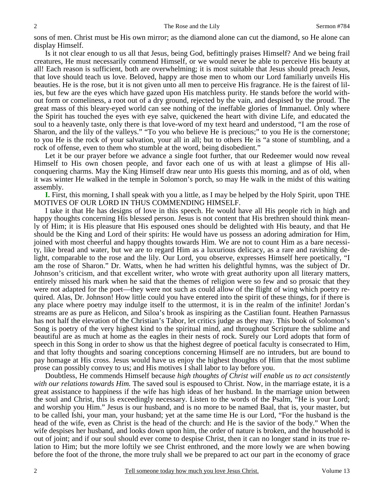sons of men. Christ must be His own mirror; as the diamond alone can cut the diamond, so He alone can display Himself.

Is it not clear enough to us all that Jesus, being God, befittingly praises Himself? And we being frail creatures, He must necessarily commend Himself, or we would never be able to perceive His beauty at all! Each reason is sufficient, both are overwhelming; it is most suitable that Jesus should preach Jesus, that love should teach us love. Beloved, happy are those men to whom our Lord familiarly unveils His beauties. He is the rose, but it is not given unto all men to perceive His fragrance. He is the fairest of lilies, but few are the eyes which have gazed upon His matchless purity. He stands before the world without form or comeliness, a root out of a dry ground, rejected by the vain, and despised by the proud. The great mass of this bleary-eyed world can see nothing of the ineffable glories of Immanuel. Only where the Spirit has touched the eyes with eye salve, quickened the heart with divine Life, and educated the soul to a heavenly taste, only there is that love-word of my text heard and understood, "I am the rose of Sharon, and the lily of the valleys." "To you who believe He is precious;" to you He is the cornerstone; to you He is the rock of your salvation, your all in all; but to others He is "a stone of stumbling, and a rock of offense, even to them who stumble at the word, being disobedient."

 Let it be our prayer before we advance a single foot further, that our Redeemer would now reveal Himself to His own chosen people, and favor each one of us with at least a glimpse of His allconquering charms. May the King Himself draw near unto His guests this morning, and as of old, when it was winter He walked in the temple in Solomon's porch, so may He walk in the midst of this waiting assembly.

**I.** First, this morning, I shall speak with you a little, as I may be helped by the Holy Spirit, upon THE MOTIVES OF OUR LORD IN THUS COMMENDING HIMSELF.

 I take it that He has designs of love in this speech. He would have all His people rich in high and happy thoughts concerning His blessed person. Jesus is not content that His brethren should think meanly of Him; it is His pleasure that His espoused ones should be delighted with His beauty, and that He should be the King and Lord of their spirits: He would have us possess an adoring admiration for Him, joined with most cheerful and happy thoughts towards Him. We are not to count Him as a bare necessity, like bread and water, but we are to regard Him as a luxurious delicacy, as a rare and ravishing delight, comparable to the rose and the lily. Our Lord, you observe, expresses Himself here poetically, "I am the rose of Sharon." Dr. Watts, when he had written his delightful hymns, was the subject of Dr. Johnson's criticism, and that excellent writer, who wrote with great authority upon all literary matters, entirely missed his mark when he said that the themes of religion were so few and so prosaic that they were not adapted for the poet—they were not such as could allow of the flight of wing which poetry required. Alas, Dr. Johnson! How little could you have entered into the spirit of these things, for if there is any place where poetry may indulge itself to the uttermost, it is in the realm of the infinite! Jordan's streams are as pure as Helicon, and Siloa's brook as inspiring as the Castilian fount. Heathen Parnassus has not half the elevation of the Christian's Tabor, let critics judge as they may. This book of Solomon's Song is poetry of the very highest kind to the spiritual mind, and throughout Scripture the sublime and beautiful are as much at home as the eagles in their nests of rock. Surely our Lord adopts that form of speech in this Song in order to show us that the highest degree of poetical faculty is consecrated to Him, and that lofty thoughts and soaring conceptions concerning Himself are no intruders, but are bound to pay homage at His cross. Jesus would have us enjoy the highest thoughts of Him that the most sublime prose can possibly convey to us; and His motives I shall labor to lay before you.

 Doubtless, He commends Himself because *high thoughts of Christ will enable us to act consistently with our relations towards Him.* The saved soul is espoused to Christ. Now, in the marriage estate, it is a great assistance to happiness if the wife has high ideas of her husband. In the marriage union between the soul and Christ, this is exceedingly necessary. Listen to the words of the Psalm, "He is your Lord; and worship you Him." Jesus is our husband, and is no more to be named Baal, that is, your master, but to be called Ishi, your man, your husband; yet at the same time He is our Lord, "For the husband is the head of the wife, even as Christ is the head of the church: and He is the savior of the body." When the wife despises her husband, and looks down upon him, the order of nature is broken, and the household is out of joint; and if our soul should ever come to despise Christ, then it can no longer stand in its true relation to Him; but the more loftily we see Christ enthroned, and the more lowly we are when bowing before the foot of the throne, the more truly shall we be prepared to act our part in the economy of grace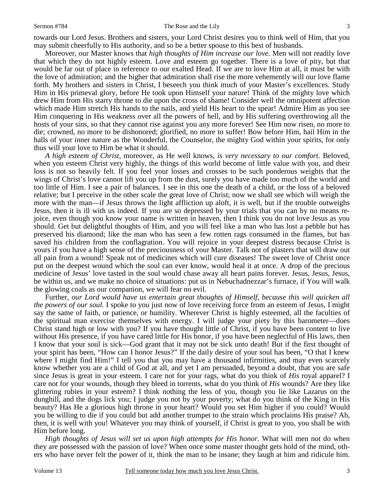#### Sermon #784 The Rose and the Lily

towards our Lord Jesus. Brothers and sisters, your Lord Christ desires you to think well of Him, that you may submit cheerfully to His authority, and so be a better spouse to this best of husbands.

 Moreover, our Master knows that *high thoughts of Him increase our love.* Men will not readily love that which they do not highly esteem. Love and esteem go together. There is a love of pity, but that would be far out of place in reference to our exalted Head. If we are to love Him at all, it must be with the love of admiration; and the higher that admiration shall rise the more vehemently will our love flame forth. My brothers and sisters in Christ, I beseech you think much of your Master's excellences. Study Him in His primeval glory, before He took upon Himself your nature! Think of the mighty love which drew Him from His starry throne to die upon the cross of shame! Consider well the omnipotent affection which made Him stretch His hands to the nails, and yield His heart to the spear! Admire Him as you see Him conquering in His weakness over all the powers of hell, and by His suffering overthrowing all the hosts of your sins, so that they cannot rise against you any more forever! See Him now risen, no more to die; crowned, no more to be dishonored; glorified, no more to suffer! Bow before Him, hail Him in the halls of your inner nature as the Wonderful, the Counselor, the mighty God within your spirits, for only thus will your love to Him be what it should.

*A high esteem of Christ,* moreover, as He well knows, *is very necessary to our comfort.* Beloved, when you esteem Christ very highly, the things of this world become of little value with you, and their loss is not so heavily felt. If you feel your losses and crosses to be such ponderous weights that the wings of Christ's love cannot lift you up from the dust, surely you have made too much of the world and too little of Him. I see a pair of balances. I see in this one the death of a child, or the loss of a beloved relative; but I perceive in the other scale the great love of Christ; now we shall see which will weigh the more with the man—if Jesus throws the light affliction up aloft, it is well, but if the trouble outweighs Jesus, then it is ill with us indeed. If you are so depressed by your trials that you can by no means rejoice, even though you know your name is written in heaven, then I think you do not love Jesus as you should. Get but delightful thoughts of Him, and you will feel like a man who has lost a pebble but has preserved his diamond; like the man who has seen a few rotten rags consumed in the flames, but has saved his children from the conflagration. You will rejoice in your deepest distress because Christ is yours if you have a high sense of the preciousness of your Master. Talk not of plasters that will draw out all pain from a wound! Speak not of medicines which will cure diseases! The sweet love of Christ once put on the deepest wound which the soul can ever know, would heal it at once. A drop of the precious medicine of Jesus' love tasted in the soul would chase away all heart pains forever. Jesus, Jesus, Jesus, be within us, and we make no choice of situations: put us in Nebuchadnezzar's furnace, if You will walk the glowing coals as our companion, we will fear no evil.

 Further, *our Lord would have us entertain great thoughts of Himself, because this will quicken all the powers of our soul.* I spoke to you just now of love receiving force from an esteem of Jesus, I might say the same of faith, or patience, or humility. Wherever Christ is highly esteemed, all the faculties of the spiritual man exercise themselves with energy. I will judge your piety by this barometer—does Christ stand high or low with you? If you have thought little of Christ, if you have been content to live without His presence, if you have cared little for His honor, if you have been neglectful of His laws, then I know that your soul is sick—God grant that it may not be sick unto death! But if the first thought of your spirit has been, "How can I honor Jesus?" If the daily desire of your soul has been, "O that I knew where I might find Him!" I tell you that you may have a thousand infirmities, and may even scarcely know whether you are a child of God at all, and yet I am persuaded, beyond a doubt, that you are safe since Jesus is great in your esteem. I care not for your rags, what do you think of *His* royal apparel? I care not for your wounds, though they bleed in torrents, what do you think of *His* wounds? Are they like glittering rubies in your esteem? I think nothing the less of you, though you lie like Lazarus on the dunghill, and the dogs lick you; I judge you not by your poverty; what do you think of the King in His beauty? Has He a glorious high throne in your heart? Would you set Him higher if you could? Would you be willing to die if you could but add another trumpet to the strain which proclaims His praise? Ah, then, it is well with you! Whatever you may think of yourself, if Christ is great to you, you shall be with Him before long.

*High thoughts of Jesus will set us upon high attempts for His honor.* What will men not do when they are possessed with the passion of love? When once some master thought gets hold of the mind, others who have never felt the power of it, think the man to be insane; they laugh at him and ridicule him.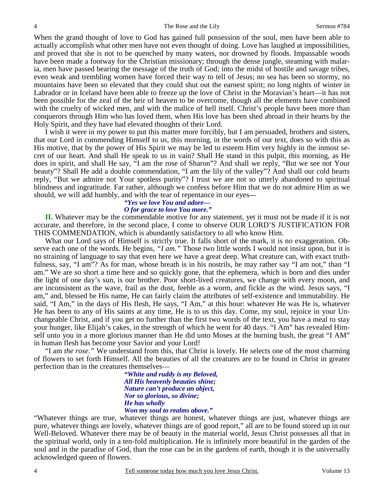When the grand thought of love to God has gained full possession of the soul, men have been able to actually accomplish what other men have not even thought of doing. Love has laughed at impossibilities, and proved that she is not to be quenched by many waters, nor drowned by floods. Impassable woods have been made a footway for the Christian missionary; through the dense jungle, steaming with malaria, men have passed bearing the message of the truth of God; into the midst of hostile and savage tribes, even weak and trembling women have forced their way to tell of Jesus; no sea has been so stormy, no mountains have been so elevated that they could shut out the earnest spirit; no long nights of winter in Labrador or in Iceland have been able to freeze up the love of Christ in the Moravian's heart—it has not been possible for the zeal of the heir of heaven to be overcome, though all the elements have combined with the cruelty of wicked men, and with the malice of hell itself. Christ's people have been more than conquerors through Him who has loved them, when His love has been shed abroad in their hearts by the Holy Spirit, and they have had elevated thoughts of their Lord.

 I wish it were in my power to put this matter more forcibly, but I am persuaded, brothers and sisters, that our Lord in commending Himself to us, this morning, in the words of our text, does so with this as His motive, that by the power of His Spirit we may be led to esteem Him very highly in the inmost secret of our heart. And shall He speak to us in vain? Shall He stand in this pulpit, this morning, as He does in spirit, and shall He say, "I am the rose of Sharon"? And shall we reply, "But we see not Your beauty"? Shall He add a double commendation, "I am the lily of the valley"? And shall our cold hearts reply, "But we admire not Your spotless purity"? I trust we are not so utterly abandoned to spiritual blindness and ingratitude. Far rather, although we confess before Him that we do not admire Him as we should, we will add humbly, and with the tear of repentance in our eyes*—* 

## *"Yes we love You and adore— O for grace to love You more."*

**II.** Whatever may be the commendable motive for any statement, yet it must not be made if it is not accurate, and therefore, in the second place, I come to observe OUR LORD'S JUSTIFICATION FOR THIS COMMENDATION, which is abundantly satisfactory to all who know Him.

 What our Lord says of Himself is strictly true. It falls short of the mark, it is no exaggeration. Observe each one of the words. He begins, *"I am."* Those two little words I would not insist upon, but it is no straining of language to say that even here we have a great deep. What creature can, with exact truthfulness, say, "I am"? As for man, whose breath is in his nostrils, he may rather say "I am not," than "I am." We are so short a time here and so quickly gone, that the ephemera, which is born and dies under the light of one day's sun, is our brother. Poor short-lived creatures, we change with every moon, and are inconsistent as the wave, frail as the dust, feeble as a worm, and fickle as the wind. Jesus says, "I am," and, blessed be His name, He can fairly claim the attributes of self-existence and immutability. He said, "I Am," in the days of His flesh, He says, "I Am," at this hour: whatever He was He is, whatever He has been to any of His saints at any time, He is to us this day. Come, my soul, rejoice in your Unchangeable Christ, and if you get no further than the first two words of the text, you have a meal to stay your hunger, like Elijah's cakes, in the strength of which he went for 40 days. "I Am" has revealed Himself unto you in a more glorious manner than He did unto Moses at the burning bush, the great "I AM" in human flesh has become your Savior and your Lord!

 "I am *the rose."* We understand from this, that Christ is lovely. He selects one of the most charming of flowers to set forth Himself. All the beauties of all the creatures are to be found in Christ in greater perfection than in the creatures themselves—

> *"White and ruddy is my Beloved, All His heavenly beauties shine; Nature can't produce an object, Nor so glorious, so divine; He has wholly Won my soul to realms above."*

"Whatever things are true, whatever things are honest, whatever things are just, whatever things are pure, whatever things are lovely, whatever things are of good report," all are to be found stored up in our Well-Beloved. Whatever there may be of beauty in the material world, Jesus Christ possesses all that in the spiritual world, only in a ten-fold multiplication. He is infinitely more beautiful in the garden of the soul and in the paradise of God, than the rose can be in the gardens of earth, though it is the universally acknowledged queen of flowers.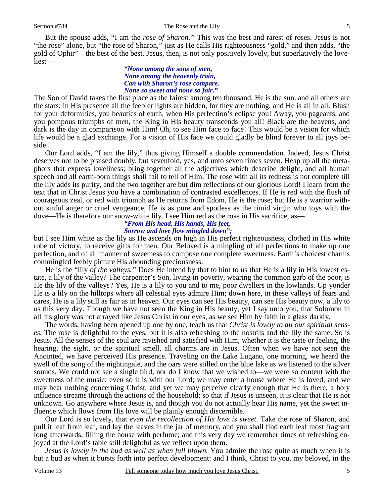But the spouse adds, "I am the *rose of Sharon."* This was the best and rarest of roses. Jesus is not "the rose" alone, but "the rose of Sharon," just as He calls His righteousness "gold," and then adds, "the gold of Ophir"—the best of the best. Jesus, then, is not only positively lovely, but superlatively the loveliest—

#### *"None among the sons of men, None among the heavenly train, Can with Sharon's rose compare. None so sweet and none so fair."*

The Son of David takes the first place as the fairest among ten thousand. He is the sun, and all others are the stars; in His presence all the feebler lights are hidden, for they are nothing, and He is all in all. Blush for your deformities, you beauties of earth, when His perfection's eclipse you! Away, you pageants, and you pompous triumphs of men, the King in His beauty transcends you all! Black are the heavens, and dark is the day in comparison with Him! Oh, to see Him face to face! This would be a vision for which life would be a glad exchange. For a vision of His face we could gladly be blind forever to all joys beside.

 Our Lord adds, "I am the lily," thus giving Himself a double commendation. Indeed, Jesus Christ deserves not to be praised doubly, but sevenfold, yes, and unto seven times seven. Heap up all the metaphors that express loveliness; bring together all the adjectives which describe delight, and all human speech and all earth-born things shall fail to tell of Him. The rose with all its redness is not complete till the lily adds its purity, and the two together are but dim reflections of our glorious Lord! I learn from the text that in Christ Jesus you have a combination of contrasted excellences. If He is red with the flush of courageous zeal, or red with triumph as He returns from Edom, He is the rose; but He is a warrior without sinful anger or cruel vengeance, He is as pure and spotless as the timid virgin who toys with the dove—He is therefore our snow-white lily. I see Him red as the rose in His sacrifice, as—

#### *"From His head, His hands, His feet, Sorrow and love flow mingled down";*

but I see Him white as the lily as He ascends on high in His perfect righteousness, clothed in His white robe of victory, to receive gifts for men. Our Beloved is a mingling of all perfections to make up one perfection, and of all manner of sweetness to compose one complete sweetness. Earth's choicest charms commingled feebly picture His abounding preciousness.

 He is the "lily *of the valleys."* Does He intend by that to hint to us that He is a lily in His lowest estate, a lily of the valley? The carpenter's Son, living in poverty, wearing the common garb of the poor, is He the lily of the valleys? Yes, He is a lily to you and to me, poor dwellers in the lowlands. Up yonder He is a lily on the hilltops where all celestial eyes admire Him; down here, in these valleys of fears and cares, He is a lily still as fair as in heaven. Our eyes can see His beauty, can see His beauty now, a lily to us this very day. Though we have not seen the King in His beauty, yet I say unto you, that Solomon in all his glory was not arrayed like Jesus Christ in our eyes, as we see Him by faith in a glass darkly.

 The words, having been opened up one by one, teach us that *Christ is lovely to all our spiritual senses.* The rose is delightful to the eyes, but it is also refreshing to the nostrils and the lily the same. So is Jesus. All the senses of the soul are ravished and satisfied with Him, whether it is the taste or feeling, the hearing, the sight, or the spiritual smell, all charms are in Jesus. Often when we have not seen the Anointed, we have perceived His presence. Traveling on the Lake Lugano, one morning, we heard the swell of the song of the nightingale, and the oars were stilled on the blue lake as we listened to the silver sounds. We could not see a single bird, nor do I know that we wished to—we were so content with the sweetness of the music: even so it is with our Lord; we may enter a house where He is loved, and we may hear nothing concerning Christ, and yet we may perceive clearly enough that He is there, a holy influence streams through the actions of the household; so that if Jesus is unseen, it is clear that He is not unknown. Go anywhere where Jesus is, and though you do not actually hear His name, yet the sweet influence which flows from His love will be plainly enough discernible.

 Our Lord is so lovely, that *even the recollection of His love is sweet.* Take the rose of Sharon, and pull it leaf from leaf, and lay the leaves in the jar of memory, and you shall find each leaf most fragrant long afterwards, filling the house with perfume; and this very day we remember times of refreshing enjoyed at the Lord's table still delightful as we reflect upon them.

*Jesus is lovely in the bud as well as when full blown.* You admire the rose quite as much when it is but a bud as when it bursts forth into perfect development: and I think, Christ to you, my beloved, in the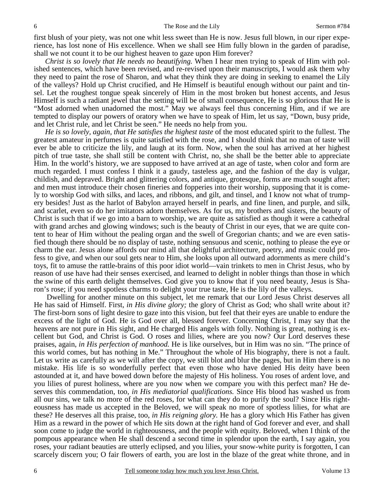first blush of your piety, was not one whit less sweet than He is now. Jesus full blown, in our riper experience, has lost none of His excellence. When we shall see Him fully blown in the garden of paradise, shall we not count it to be our highest heaven to gaze upon Him forever?

*Christ is so lovely that He needs no beautifying.* When I hear men trying to speak of Him with polished sentences, which have been revised, and re-revised upon their manuscripts, I would ask them why they need to paint the rose of Sharon, and what they think they are doing in seeking to enamel the Lily of the valleys? Hold up Christ crucified, and He Himself is beautiful enough without our paint and tinsel. Let the roughest tongue speak sincerely of Him in the most broken but honest accents, and Jesus Himself is such a radiant jewel that the setting will be of small consequence, He is so glorious that He is "Most adorned when unadorned the most." May we always feel thus concerning Him, and if we are tempted to display our powers of oratory when we have to speak of Him, let us say, "Down, busy pride, and let Christ rule, and let Christ be seen." He needs no help from you.

*He is so lovely, again, that He satisfies the highest taste* of the most educated spirit to the fullest. The greatest amateur in perfumes is quite satisfied with the rose, and I should think that no man of taste will ever be able to criticize the lily, and laugh at its form. Now, when the soul has arrived at her highest pitch of true taste, she shall still be content with Christ, no, she shall be the better able to appreciate Him. In the world's history, we are supposed to have arrived at an age of taste, when color and form are much regarded. I must confess I think it a gaudy, tasteless age, and the fashion of the day is vulgar, childish, and depraved. Bright and glittering colors, and antique, grotesque, forms are much sought after; and men must introduce their chosen fineries and fopperies into their worship, supposing that it is comely to worship God with silks, and laces, and ribbons, and gilt, and tinsel, and I know not what of trumpery besides! Just as the harlot of Babylon arrayed herself in pearls, and fine linen, and purple, and silk, and scarlet, even so do her imitators adorn themselves. As for us, my brothers and sisters, the beauty of Christ is such that if we go into a barn to worship, we are quite as satisfied as though it were a cathedral with grand arches and glowing windows; such is the beauty of Christ in our eyes, that we are quite content to hear of Him without the pealing organ and the swell of Gregorian chants; and we are even satisfied though there should be no display of taste, nothing sensuous and scenic, nothing to please the eye or charm the ear. Jesus alone affords our mind all that delightful architecture, poetry, and music could profess to give, and when our soul gets near to Him, she looks upon all outward adornments as mere child's toys, fit to amuse the rattle-brains of this poor idiot world—vain trinkets to men in Christ Jesus, who by reason of use have had their senses exercised, and learned to delight in nobler things than those in which the swine of this earth delight themselves. God give you to know that if you need beauty, Jesus is Sharon's rose; if you need spotless charms to delight your true taste, He is the lily of the valleys.

Dwelling for another minute on this subject, let me remark that our Lord Jesus Christ deserves all He has said of Himself. First, *in His divine glory;* the glory of Christ as God; who shall write about it? The first-born sons of light desire to gaze into this vision, but feel that their eyes are unable to endure the excess of the light of God. He is God over all, blessed forever. Concerning Christ, I may say that the heavens are not pure in His sight, and He charged His angels with folly. Nothing is great, nothing is excellent but God, and Christ is God. O roses and lilies, where are you now? Our Lord deserves these praises, again, *in His perfection of manhood.* He is like ourselves, but in Him was no sin. "The prince of this world comes, but has nothing in Me." Throughout the whole of His biography, there is not a fault. Let us write as carefully as we will after the copy, we still blot and blur the pages, but in Him there is no mistake. His life is so wonderfully perfect that even those who have denied His deity have been astounded at it, and have bowed down before the majesty of His holiness. You roses of ardent love, and you lilies of purest holiness, where are you now when we compare you with this perfect man? He deserves this commendation, too, *in His mediatorial qualifications.* Since His blood has washed us from all our sins, we talk no more of the red roses, for what can they do to purify the soul? Since His righteousness has made us accepted in the Beloved, we will speak no more of spotless lilies, for what are these? He deserves all this praise, too, *in His reigning glory.* He has a glory which His Father has given Him as a reward in the power of which He sits down at the right hand of God forever and ever, and shall soon come to judge the world in righteousness, and the people with equity. Beloved, when I think of the pompous appearance when He shall descend a second time in splendor upon the earth, I say again, you roses, your radiant beauties are utterly eclipsed, and you lilies, your snow-white purity is forgotten, I can scarcely discern you; O fair flowers of earth, you are lost in the blaze of the great white throne, and in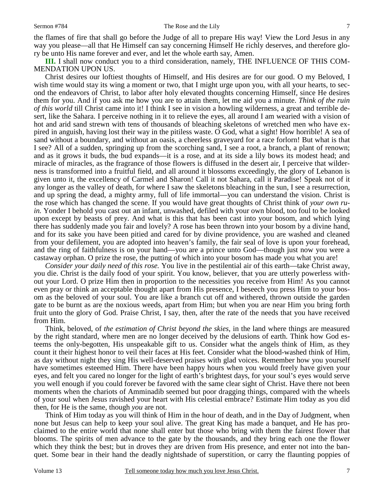the flames of fire that shall go before the Judge of all to prepare His way! View the Lord Jesus in any way you please—all that He Himself can say concerning Himself He richly deserves, and therefore glory be unto His name forever and ever, and let the whole earth say, Amen.

**III.** I shall now conduct you to a third consideration, namely, THE INFLUENCE OF THIS COM-MENDATION UPON US.

 Christ desires our loftiest thoughts of Himself, and His desires are for our good. O my Beloved, I wish time would stay its wing a moment or two, that I might urge upon you, with all your hearts, to second the endeavors of Christ, to labor after holy elevated thoughts concerning Himself, since He desires them for you. And if you ask me how you are to attain them, let me aid you a minute. *Think of the ruin of this world* till Christ came into it! I think I see in vision a howling wilderness, a great and terrible desert, like the Sahara. I perceive nothing in it to relieve the eyes, all around I am wearied with a vision of hot and arid sand strewn with tens of thousands of bleaching skeletons of wretched men who have expired in anguish, having lost their way in the pitiless waste. O God, what a sight! How horrible! A sea of sand without a boundary, and without an oasis, a cheerless graveyard for a race forlorn! But what is that I see? All of a sudden, springing up from the scorching sand, I see a root, a branch, a plant of renown; and as it grows it buds, the bud expands—it is a rose, and at its side a lily bows its modest head; and miracle of miracles, as the fragrance of those flowers is diffused in the desert air, I perceive that wilderness is transformed into a fruitful field, and all around it blossoms exceedingly, the glory of Lebanon is given unto it, the excellency of Carmel and Sharon! Call it not Sahara, call it Paradise! Speak not of it any longer as the valley of death, for where I saw the skeletons bleaching in the sun, I see a resurrection, and up spring the dead, a mighty army, full of life immortal—you can understand the vision. Christ is the rose which has changed the scene. If you would have great thoughts of Christ think of *your own ruin.* Yonder I behold you cast out an infant, unwashed, defiled with your own blood, too foul to be looked upon except by beasts of prey. And what is this that has been cast into your bosom, and which lying there has suddenly made you fair and lovely? A rose has been thrown into your bosom by a divine hand, and for its sake you have been pitied and cared for by divine providence, you are washed and cleaned from your defilement, you are adopted into heaven's family, the fair seal of love is upon your forehead, and the ring of faithfulness is on your hand—you are a prince unto God—though just now you were a castaway orphan. O prize the rose, the putting of which into your bosom has made you what you are!

*Consider your daily need of this rose.* You live in the pestilential air of this earth—take Christ away, you die. Christ is the daily food of your spirit. You know, believer, that you are utterly powerless without your Lord. O prize Him then in proportion to the necessities you receive from Him! As you cannot even pray or think an acceptable thought apart from His presence, I beseech you press Him to your bosom as the beloved of your soul. You are like a branch cut off and withered, thrown outside the garden gate to be burnt as are the noxious weeds, apart from Him; but when you are near Him you bring forth fruit unto the glory of God. Praise Christ, I say, then, after the rate of the needs that you have received from Him.

 Think, beloved, of *the estimation of Christ beyond the skies,* in the land where things are measured by the right standard, where men are no longer deceived by the delusions of earth. Think how God esteems the only-begotten, His unspeakable gift to us. Consider what the angels think of Him, as they count it their highest honor to veil their faces at His feet. Consider what the blood-washed think of Him, as day without night they sing His well-deserved praises with glad voices. Remember how you yourself have sometimes esteemed Him. There have been happy hours when you would freely have given your eyes, and felt you cared no longer for the light of earth's brightest days, for your soul's eyes would serve you well enough if you could forever be favored with the same clear sight of Christ. Have there not been moments when the chariots of Amminadib seemed but poor dragging things, compared with the wheels of your soul when Jesus ravished your heart with His celestial embrace? Estimate Him today as you did then, for He is the same, though *you* are not.

 Think of Him today as you will think of Him in the hour of death, and in the Day of Judgment, when none but Jesus can help to keep your soul alive. The great King has made a banquet, and He has proclaimed to the entire world that none shall enter but those who bring with them the fairest flower that blooms. The spirits of men advance to the gate by the thousands, and they bring each one the flower which they think the best; but in droves they are driven from His presence, and enter not into the banquet. Some bear in their hand the deadly nightshade of superstition, or carry the flaunting poppies of